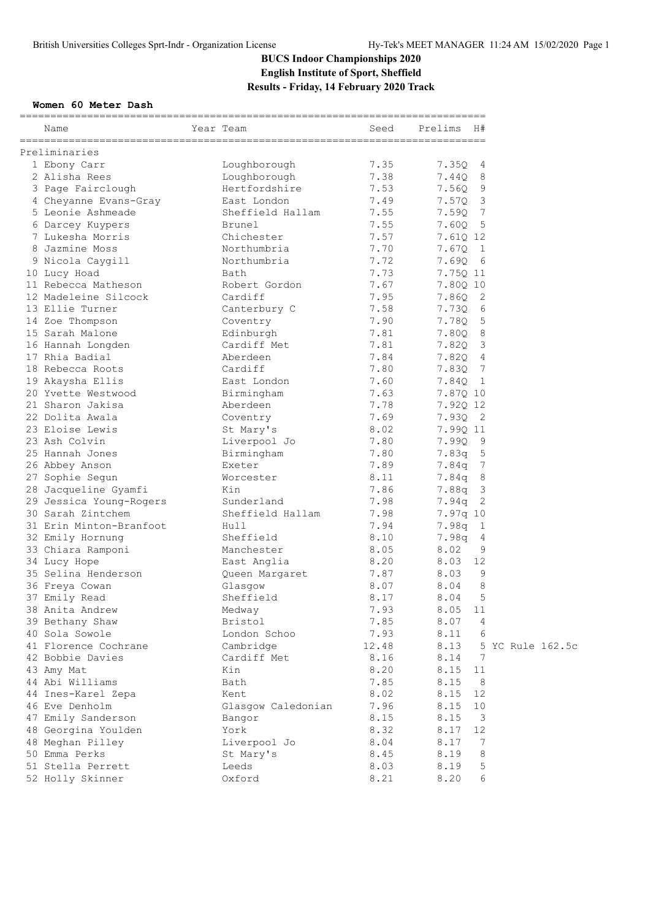#### **Women 60 Meter Dash**

| Name                    | Year Team          | Seed  | Prelims  | H#                         |
|-------------------------|--------------------|-------|----------|----------------------------|
| Preliminaries           |                    |       |          |                            |
| 1 Ebony Carr            | Loughborough       | 7.35  | 7.35Q    | 4                          |
| 2 Alisha Rees           | Loughborough       | 7.38  | 7.44Q    | 8                          |
| 3 Page Fairclough       | Hertfordshire      | 7.53  | 7.56Q    | 9                          |
| 4 Cheyanne Evans-Gray   | East London        | 7.49  | 7.57Q    | 3                          |
| 5 Leonie Ashmeade       | Sheffield Hallam   | 7.55  | 7.59Q    | 7                          |
| 6 Darcey Kuypers        | Brunel             | 7.55  | 7.60Q    | $-5$                       |
| 7 Lukesha Morris        | Chichester         | 7.57  | 7.61Q 12 |                            |
| 8 Jazmine Moss          | Northumbria        | 7.70  | 7.67Q    | $\mathbf{1}$               |
| 9 Nicola Caygill        | Northumbria        | 7.72  | 7.690    | - 6                        |
| 10 Lucy Hoad            | Bath               | 7.73  | 7.75Q 11 |                            |
| 11 Rebecca Matheson     | Robert Gordon      | 7.67  | 7.80Q 10 |                            |
| 12 Madeleine Silcock    | Cardiff            | 7.95  | 7.860    | 2                          |
| 13 Ellie Turner         | Canterbury C       | 7.58  | 7.73Q    | 6                          |
| 14 Zoe Thompson         | Coventry           | 7.90  | 7.78Q    | 5                          |
| 15 Sarah Malone         | Edinburgh          | 7.81  | 7.80Q    | 8                          |
| 16 Hannah Longden       | Cardiff Met        | 7.81  | 7.82Q    | 3                          |
| 17 Rhia Badial          | Aberdeen           | 7.84  | 7.82Q    | 4                          |
| 18 Rebecca Roots        | Cardiff            | 7.80  | 7.83Q    | 7                          |
| 19 Akaysha Ellis        | East London        | 7.60  | 7.84Q    | $\mathbf{1}$               |
| 20 Yvette Westwood      | Birmingham         | 7.63  | 7.87Q 10 |                            |
| 21 Sharon Jakisa        | Aberdeen           | 7.78  | 7.92Q 12 |                            |
| 22 Dolita Awala         | Coventry           | 7.69  | 7.93Q    | $\overline{\phantom{0}}^2$ |
| 23 Eloise Lewis         | St Mary's          | 8.02  | 7.99Q 11 |                            |
| 23 Ash Colvin           | Liverpool Jo       | 7.80  | 7.99Q    | 9                          |
| 25 Hannah Jones         | Birmingham         | 7.80  | 7.83q    | 5                          |
| 26 Abbey Anson          | Exeter             | 7.89  | 7.84q    | 7                          |
| 27 Sophie Segun         | Worcester          | 8.11  | 7.84q    | 8                          |
| 28 Jacqueline Gyamfi    | Kin                | 7.86  | 7.88q    | 3                          |
| 29 Jessica Young-Rogers | Sunderland         | 7.98  | 7.94q    | 2                          |
| 30 Sarah Zintchem       | Sheffield Hallam   | 7.98  | 7.97q 10 |                            |
| 31 Erin Minton-Branfoot | Hull               | 7.94  | 7.98q    | 1                          |
| 32 Emily Hornung        | Sheffield          | 8.10  | 7.98q    | 4                          |
| 33 Chiara Ramponi       | Manchester         | 8.05  | 8.02     | 9                          |
| 34 Lucy Hope            | East Anglia        | 8.20  | 8.03     | 12                         |
| 35 Selina Henderson     | Queen Margaret     | 7.87  | 8.03     | 9                          |
| 36 Freya Cowan          | Glasgow            | 8.07  | 8.04     | 8                          |
| 37 Emily Read           | Sheffield          | 8.17  | 8.04     | 5                          |
| 38 Anita Andrew         | Medway             | 7.93  | 8.05     | 11                         |
| 39 Bethany Shaw         | Bristol            | 7.85  | 8.07     | $\overline{4}$             |
| 40 Sola Sowole          | London Schoo       | 7.93  | 8.11     | 6                          |
| 41 Florence Cochrane    | Cambridge          | 12.48 | 8.13     | 5 YC Rule 162.5c           |
| 42 Bobbie Davies        | Cardiff Met        | 8.16  | 8.14     | 7                          |
| 43 Amy Mat              | Kin                | 8.20  | 8.15     | 11                         |
| 44 Abi Williams         | Bath               | 7.85  | 8.15     | 8                          |
| 44 Ines-Karel Zepa      | Kent               | 8.02  | 8.15     | 12                         |
| 46 Eve Denholm          | Glasgow Caledonian | 7.96  | 8.15     | 10                         |
| 47 Emily Sanderson      | Bangor             | 8.15  | 8.15     | 3                          |
| 48 Georgina Youlden     | York               | 8.32  | 8.17     | 12                         |
| 48 Meghan Pilley        | Liverpool Jo       | 8.04  | 8.17     | 7                          |
| 50 Emma Perks           | St Mary's          | 8.45  | 8.19     | 8                          |
| 51 Stella Perrett       | Leeds              | 8.03  | 8.19     | 5                          |
| 52 Holly Skinner        | Oxford             | 8.21  | 8.20     | 6                          |
|                         |                    |       |          |                            |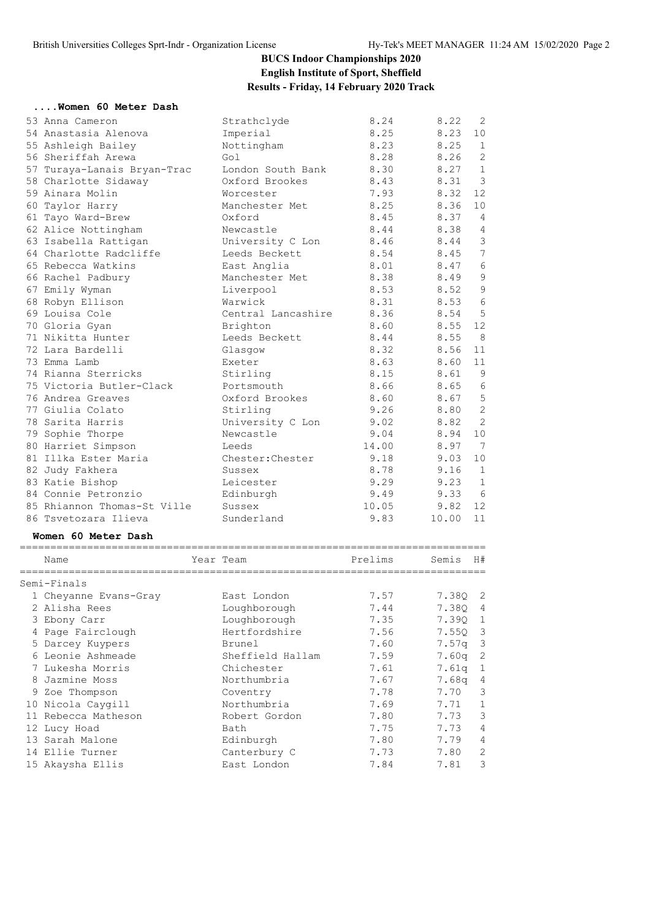#### **....Women 60 Meter Dash**

| 53 Anna Cameron             | Strathclyde        | 8.24  | 8.22    | 2              |  |  |  |  |
|-----------------------------|--------------------|-------|---------|----------------|--|--|--|--|
| 54 Anastasia Alenova        | Imperial           | 8.25  | 8.23    | 10             |  |  |  |  |
| 55 Ashleigh Bailey          | Nottingham         | 8.23  | 8.25    | 1              |  |  |  |  |
| 56 Sheriffah Arewa          | Gol                | 8.28  | 8.26    | 2              |  |  |  |  |
| 57 Turaya-Lanais Bryan-Trac | London South Bank  | 8.30  | 8.27    | $\mathbf{1}$   |  |  |  |  |
| 58 Charlotte Sidaway        | Oxford Brookes     | 8.43  | 8.31    | $\mathbf{3}$   |  |  |  |  |
| 59 Ainara Molin             | Worcester          | 7.93  | 8.32    | 12             |  |  |  |  |
| 60 Taylor Harry             | Manchester Met     | 8.25  | 8.36    | 10             |  |  |  |  |
| 61 Tayo Ward-Brew           | Oxford             | 8.45  | 8.37    | $\overline{4}$ |  |  |  |  |
| 62 Alice Nottingham         | Newcastle          | 8.44  | 8.38    | $\overline{4}$ |  |  |  |  |
| 63 Isabella Rattigan        | University C Lon   | 8.46  | 8.44    | $\mathcal{S}$  |  |  |  |  |
| 64 Charlotte Radcliffe      | Leeds Beckett      | 8.54  | 8.45    | $\overline{7}$ |  |  |  |  |
| 65 Rebecca Watkins          | East Anglia        | 8.01  | 8.47    | $\sqrt{6}$     |  |  |  |  |
| 66 Rachel Padbury           | Manchester Met     | 8.38  | 8.49    | $\overline{9}$ |  |  |  |  |
| 67 Emily Wyman              | Liverpool          | 8.53  | 8.52    | $\mathfrak{S}$ |  |  |  |  |
| 68 Robyn Ellison            | Warwick            | 8.31  | 8.53 6  |                |  |  |  |  |
| 69 Louisa Cole              | Central Lancashire | 8.36  | 8.54    | 5              |  |  |  |  |
| 70 Gloria Gyan              | Brighton           | 8.60  | 8.55    | 12             |  |  |  |  |
| 71 Nikitta Hunter           | Leeds Beckett      | 8.44  | 8.55    | $_{\rm 8}$     |  |  |  |  |
| 72 Lara Bardelli            | Glasgow            | 8.32  | 8.56    | 11             |  |  |  |  |
| 73 Emma Lamb                | Exeter             | 8.63  | 8.60    | 11             |  |  |  |  |
| 74 Rianna Sterricks         | Stirling           | 8.15  | 8.61    | $\overline{9}$ |  |  |  |  |
| 75 Victoria Butler-Clack    | Portsmouth         | 8.66  | 8.65    | 6              |  |  |  |  |
| 76 Andrea Greaves           | Oxford Brookes     | 8.60  | 8.67    | 5              |  |  |  |  |
| 77 Giulia Colato            | Stirling           | 9.26  | 8.80    | $\overline{c}$ |  |  |  |  |
| 78 Sarita Harris            | University C Lon   | 9.02  | 8.82    | 2              |  |  |  |  |
| 79 Sophie Thorpe            | Newcastle          | 9.04  | 8.94    | 10             |  |  |  |  |
| 80 Harriet Simpson          | Leeds              | 14.00 | 8.97    | $\overline{7}$ |  |  |  |  |
| 81 Illka Ester Maria        | Chester: Chester   | 9.18  | 9.03    | 10             |  |  |  |  |
| 82 Judy Fakhera             | Sussex             | 8.78  | 9.16    | $\mathbf 1$    |  |  |  |  |
| 83 Katie Bishop             | Leicester          | 9.29  | 9.23    | $\mathbf{1}$   |  |  |  |  |
| 84 Connie Petronzio         | Edinburgh          | 9.49  | 9.3366  |                |  |  |  |  |
| 85 Rhiannon Thomas-St Ville | Sussex             | 10.05 | 9.82 12 |                |  |  |  |  |
| 86 Tsvetozara Ilieva        | Sunderland         | 9.83  | 10.00   | 11             |  |  |  |  |
| Women 60 Meter Dash         |                    |       |         |                |  |  |  |  |
|                             |                    |       |         |                |  |  |  |  |

|   | Name                  | Year Team        | Prelims | Semis             | H#             |
|---|-----------------------|------------------|---------|-------------------|----------------|
|   | Semi-Finals           |                  |         |                   |                |
|   | 1 Cheyanne Evans-Gray | East London      | 7.57    | 7.380             | $\overline{2}$ |
|   | 2 Alisha Rees         | Loughborough     | 7.44    | 7.380             | 4              |
|   | 3 Ebony Carr          | Loughborough     | 7.35    | 7.390             | 1              |
|   | 4 Page Fairclough     | Hertfordshire    | 7.56    | 7.550             | -3             |
|   | 5 Darcey Kuypers      | Brunel           | 7.60    | 7.57 <sub>q</sub> | -3             |
|   | 6 Leonie Ashmeade     | Sheffield Hallam | 7.59    | 7.60a             | 2              |
|   | 7 Lukesha Morris      | Chichester       | 7.61    | 7.61a             | 1              |
| 8 | Jazmine Moss          | Northumbria      | 7.67    | 7.68a             | 4              |
|   | 9 Zoe Thompson        | Coventry         | 7.78    | 7.70              | 3              |
|   | 10 Nicola Caygill     | Northumbria      | 7.69    | 7.71              | 1              |
|   | 11 Rebecca Matheson   | Robert Gordon    | 7.80    | 7.73              | 3              |
|   | 12 Lucy Hoad          | Bath             | 7.75    | 7.73              | $\overline{4}$ |
|   | 13 Sarah Malone       | Edinburgh        | 7.80    | 7.79              | $\overline{4}$ |
|   | 14 Ellie Turner       | Canterbury C     | 7.73    | 7.80              | 2              |
|   | 15 Akaysha Ellis      | East London      | 7.84    | 7.81              | 3              |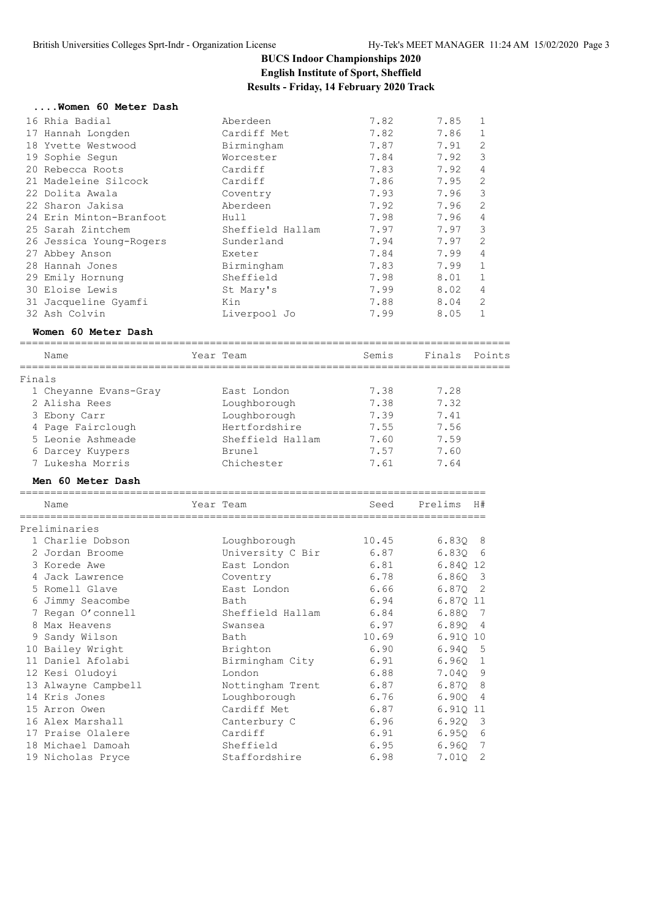#### **....Women 60 Meter Dash**

| 16 Rhia Badial          | Aberdeen         | 7.82 | 7.85 |                |
|-------------------------|------------------|------|------|----------------|
| 17 Hannah Longden       | Cardiff Met      | 7.82 | 7.86 | 1              |
| 18 Yvette Westwood      | Birmingham       | 7.87 | 7.91 | 2              |
| 19 Sophie Sequn         | Worcester        | 7.84 | 7.92 | 3              |
| 20 Rebecca Roots        | Cardiff          | 7.83 | 7.92 | 4              |
| 21 Madeleine Silcock    | Cardiff          | 7.86 | 7.95 | 2              |
| 22 Dolita Awala         | Coventry         | 7.93 | 7.96 | 3              |
| 22 Sharon Jakisa        | Aberdeen         | 7.92 | 7.96 | 2              |
| 24 Erin Minton-Branfoot | Hull             | 7.98 | 7.96 | $\overline{4}$ |
| 25 Sarah Zintchem       | Sheffield Hallam | 7.97 | 7.97 | 3              |
| 26 Jessica Young-Rogers | Sunderland       | 7.94 | 7.97 | 2              |
| 27 Abbey Anson          | Exeter           | 7.84 | 7.99 | 4              |
| 28 Hannah Jones         | Birmingham       | 7.83 | 7.99 | $\mathbf{1}$   |
| 29 Emily Hornung        | Sheffield        | 7.98 | 8.01 |                |
| 30 Eloise Lewis         | St Mary's        | 7.99 | 8.02 | 4              |
| 31 Jacqueline Gyamfi    | Kin              | 7.88 | 8.04 | 2              |
| 32 Ash Colvin           | Liverpool Jo     | 7.99 | 8.05 |                |

#### **Women 60 Meter Dash**

|        | Name                  |           | Year Team        | Semis | Finals Points |    |
|--------|-----------------------|-----------|------------------|-------|---------------|----|
| Finals |                       |           |                  |       |               |    |
|        | 1 Cheyanne Evans-Gray |           | East London      | 7.38  | 7.28          |    |
|        | 2 Alisha Rees         |           | Loughborough     | 7.38  | 7.32          |    |
|        | 3 Ebony Carr          |           | Loughborough     | 7.39  | 7.41          |    |
|        | 4 Page Fairclough     |           | Hertfordshire    | 7.55  | 7.56          |    |
|        | 5 Leonie Ashmeade     |           | Sheffield Hallam | 7.60  | 7.59          |    |
|        | 6 Darcey Kuypers      |           | Brunel           | 7.57  | 7.60          |    |
|        | 7 Lukesha Morris      |           | Chichester       | 7.61  | 7.64          |    |
|        | Men 60 Meter Dash     |           |                  |       |               |    |
|        | Name                  | Year Team |                  | Seed  | Prelims       | H# |
|        | Preliminaries         |           |                  |       |               |    |
|        | 1 Charlie Dobson      |           | Loughborough     | 10.45 | 6.830 8       |    |
|        | 2 Jordan Broome       |           | University C Bir | 6.87  | 6.8306        |    |
|        | 3 Korede Awe          |           | East London      | 6.81  | 6.840 12      |    |
|        | 4 Jack Lawrence       |           | Coventry         | 6.78  | 6.860 3       |    |
|        | 5 Romell Glave        |           | East London      | 6.66  | 6.8702        |    |
|        | 6 Jimmy Seacombe      |           | Bath             | 6.94  | 6.870 11      |    |
|        | 7 Regan O'connell     |           | Sheffield Hallam | 6.84  | 6.88Q 7       |    |
|        | 8 Max Heavens         |           | Swansea          | 6.97  | 6.8904        |    |
|        | 9 Sandy Wilson        |           | Bath             | 10.69 | 6.910 10      |    |
|        | 10 Bailey Wright      |           | Brighton         | 6.90  | 6.940 5       |    |
|        | 11 Daniel Afolabi     |           | Birmingham City  | 6.91  | 6.960         | 1  |
|        | 12 Kesi Oludoyi       |           | London           | 6.88  | 7.040         | 9  |
|        | 13 Alwayne Campbell   |           | Nottingham Trent | 6.87  | 6.870         | 8  |
|        | 14 Kris Jones         |           | Loughborough     | 6.76  | 6.90Q         | 4  |
|        | 15 Arron Owen         |           | Cardiff Met      | 6.87  | 6.910 11      |    |
|        | 16 Alex Marshall      |           | Canterbury C     | 6.96  | 6.920         | 3  |

17 Praise Olalere Cardiff 6.91 6.95Q 6 18 Michael Damoah Sheffield 6.95 6.96Q 7 19 Nicholas Pryce Staffordshire 6.98 7.01Q 2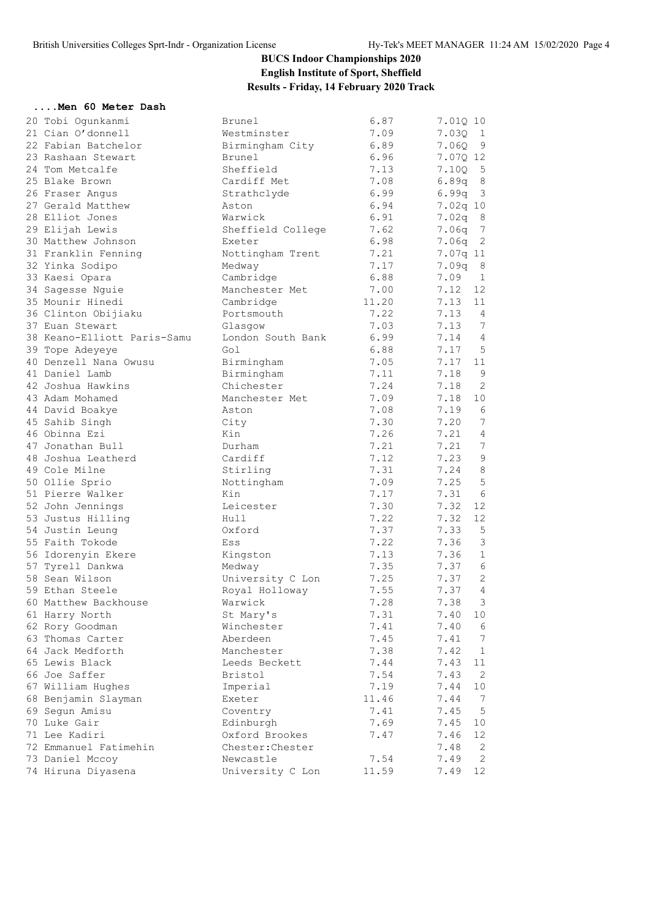#### **....Men 60 Meter Dash**

| 20 Tobi Ogunkanmi           | Brunel                             | 6.87  | 7.01Q 10                |
|-----------------------------|------------------------------------|-------|-------------------------|
| 21 Cian O'donnell           | Westminster                        | 7.09  | 7.030 1                 |
| 22 Fabian Batchelor         | Birmingham City                    | 6.89  | $7.06Q$ 9               |
| 23 Rashaan Stewart          | Brunel                             | 6.96  | 7.07Q 12                |
| 24 Tom Metcalfe             | Sheffield                          | 7.13  | $7.10Q$ 5               |
| 25 Blake Brown              | Cardiff Met                        | 7.08  | 6.89q 8                 |
| 26 Fraser Angus             | Strathclyde                        | 6.99  | $6.99q$ 3               |
| 27 Gerald Matthew           | Aston                              | 6.94  | 7.02q 10                |
| 28 Elliot Jones             | Warwick                            | 6.91  | 7.02q 8                 |
| 29 Elijah Lewis             | Sheffield College                  | 7.62  | 7.06q 7                 |
| 30 Matthew Johnson          | Exeter                             | 6.98  | 7.06q 2                 |
| 31 Franklin Fenning         | Nottingham Trent                   | 7.21  | 7.07q 11                |
| 32 Yinka Sodipo             | Medway                             | 7.17  | $7.09q$ 8               |
| 33 Kaesi Opara              | Cambridge                          | 6.88  | 7.09<br>1               |
| 34 Sagesse Nguie            | Manchester Met                     | 7.00  | 12<br>7.12              |
| 35 Mounir Hinedi            | Cambridge                          | 11.20 | 7.13<br>11              |
| 36 Clinton Obijiaku         | Portsmouth                         | 7.22  | 7.13<br>$\overline{4}$  |
| 37 Euan Stewart             | Glasgow                            | 7.03  | 7<br>7.13               |
| 38 Keano-Elliott Paris-Samu | London South Bank                  | 6.99  | 7.14<br>4               |
| 39 Tope Adeyeye             | Gol                                | 6.88  | 5<br>7.17               |
| 40 Denzell Nana Owusu       | Birmingham                         | 7.05  | 7.17<br>11              |
| 41 Daniel Lamb              | Birmingham                         | 7.11  | 9<br>7.18               |
| 42 Joshua Hawkins           | Chichester                         | 7.24  | 7.18<br>2               |
| 43 Adam Mohamed             | Manchester Met                     | 7.09  | 10<br>7.18              |
| 44 David Boakye             | Aston                              | 7.08  | 6<br>7.19               |
| 45 Sahib Singh              | City                               | 7.30  | 7.20<br>7               |
| 46 Obinna Ezi               | Kin                                | 7.26  | 4<br>7.21               |
| 47 Jonathan Bull            | Durham                             | 7.21  | $7\phantom{.0}$<br>7.21 |
| 48 Joshua Leatherd          | Cardiff                            | 7.12  | $\mathsf 9$<br>7.23     |
| 49 Cole Milne               | Stirling                           | 7.31  | 8<br>7.24               |
| 50 Ollie Sprio              | Nottingham                         | 7.09  | 5<br>7.25               |
| 51 Pierre Walker            | Kin                                | 7.17  | - 6<br>7.31             |
| 52 John Jennings            | Leicester                          | 7.30  | 12<br>7.32              |
| 53 Justus Hilling           | Hull                               | 7.22  | 12<br>7.32              |
| 54 Justin Leung             | Oxford                             | 7.37  | 7.33<br>5               |
| 55 Faith Tokode             | Ess                                | 7.22  | 3<br>7.36               |
| 56 Idorenyin Ekere          | Kingston                           | 7.13  | $\mathbf{1}$<br>7.36    |
| 57 Tyrell Dankwa            |                                    | 7.35  | $\epsilon$<br>7.37      |
| 58 Sean Wilson              | Medway                             | 7.25  | 2<br>7.37               |
| 59 Ethan Steele             | University C Lon<br>Royal Holloway | 7.55  | $\overline{4}$<br>7.37  |
| 60 Matthew Backhouse        | Warwick                            | 7.28  | 3<br>7.38               |
| 61 Harry North              | St Mary's                          | 7.31  | 7.40<br>10              |
| 62 Rory Goodman             | Winchester                         | 7.41  | 7.40<br>6               |
| 63 Thomas Carter            | Aberdeen                           | 7.45  | 7<br>7.41               |
| 64 Jack Medforth            | Manchester                         | 7.38  | 7.42<br>$\mathbf 1$     |
| 65 Lewis Black              | Leeds Beckett                      |       | 7.43<br>11              |
|                             |                                    | 7.44  |                         |
| 66 Joe Saffer               | Bristol                            | 7.54  | 2<br>7.43               |
| 67 William Hughes           | Imperial                           | 7.19  | 7.44<br>10              |
| 68 Benjamin Slayman         | Exeter                             | 11.46 | 7.44<br>-7              |
| 69 Segun Amisu              | Coventry                           | 7.41  | 7.45<br>5               |
| 70 Luke Gair                | Edinburgh                          | 7.69  | 7.45<br>10              |
| 71 Lee Kadiri               | Oxford Brookes                     | 7.47  | 7.46<br>12<br>7.48      |
| 72 Emmanuel Fatimehin       | Chester: Chester                   |       | 2                       |
| 73 Daniel Mccoy             | Newcastle                          | 7.54  | 7.49<br>2               |
| 74 Hiruna Diyasena          | University C Lon                   | 11.59 | 7.49<br>12              |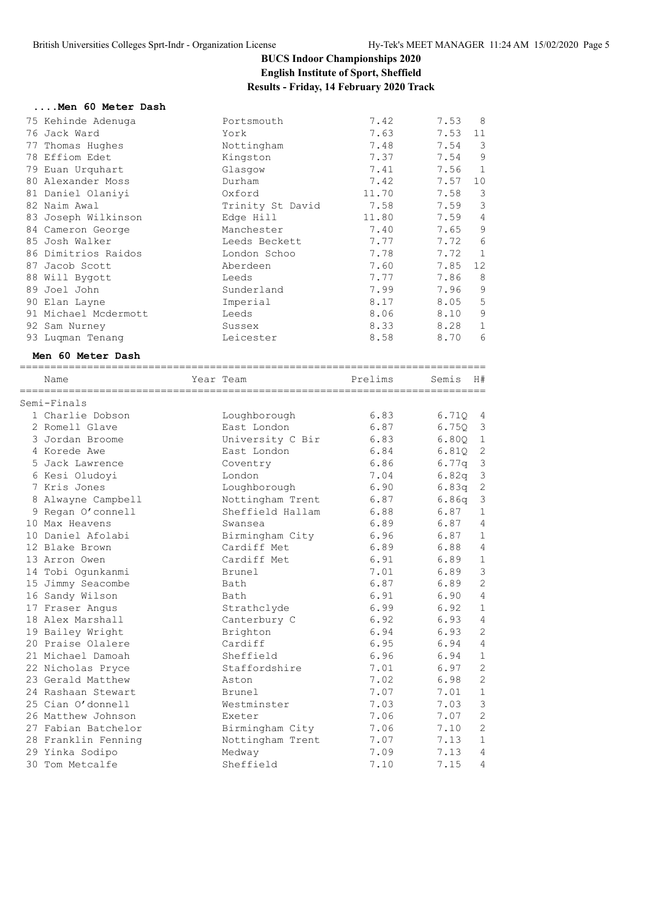#### **....Men 60 Meter Dash**

| 75 Kehinde Adenuga<br>76 Jack Ward<br>77 Thomas Hughes<br>78 Effiom Edet<br>79 Euan Urquhart<br>80 Alexander Moss<br>81 Daniel Olaniyi<br>82 Naim Awal<br>83 Joseph Wilkinson<br>84 Cameron George<br>85 Josh Walker<br>86 Dimitrios Raidos<br>87 Jacob Scott<br>88 Will Bygott<br>89 Joel John<br>90 Elan Layne<br>91 Michael Mcdermott<br>92 Sam Nurney<br>93 Luqman Tenang | Portsmouth<br>York<br>Nottingham<br>Kingston<br>Glasgow<br>Durham<br>Oxford<br>Trinity St David<br>Edge Hill<br>Manchester<br>Leeds Beckett<br>London Schoo<br>Aberdeen<br>Leeds<br>Sunderland<br>Imperial<br>Leeds<br>Sussex<br>Leicester | 7.42<br>7.63<br>7.48<br>7.37<br>7.41<br>7.42<br>11.70<br>7.58<br>11.80<br>7.40<br>7.77<br>7.78<br>7.60<br>7.77<br>7.99<br>8.17<br>8.06<br>8.33<br>8.58 | 7.53<br>7.53<br>7.54<br>7.54<br>7.56<br>7.57<br>7.58<br>7.59<br>7.59<br>7.65<br>7.72<br>7.72<br>7.85<br>7.86<br>7.96<br>8.05<br>8.10<br>8.28<br>8.70 | 8<br>11<br>3<br>9<br>1<br>10<br>3<br>$\mathcal{S}$<br>$\overline{4}$<br>9<br>6<br>$\mathbf{1}$<br>12<br>8<br>$\mathsf 9$<br>5<br>$\mathsf 9$<br>$\mathbf 1$<br>6 |
|-------------------------------------------------------------------------------------------------------------------------------------------------------------------------------------------------------------------------------------------------------------------------------------------------------------------------------------------------------------------------------|--------------------------------------------------------------------------------------------------------------------------------------------------------------------------------------------------------------------------------------------|--------------------------------------------------------------------------------------------------------------------------------------------------------|------------------------------------------------------------------------------------------------------------------------------------------------------|------------------------------------------------------------------------------------------------------------------------------------------------------------------|
| Men 60 Meter Dash                                                                                                                                                                                                                                                                                                                                                             | ======================                                                                                                                                                                                                                     |                                                                                                                                                        |                                                                                                                                                      |                                                                                                                                                                  |
| Name                                                                                                                                                                                                                                                                                                                                                                          | Year Team                                                                                                                                                                                                                                  | Prelims                                                                                                                                                | Semis                                                                                                                                                | H#                                                                                                                                                               |
| Semi-Finals                                                                                                                                                                                                                                                                                                                                                                   |                                                                                                                                                                                                                                            |                                                                                                                                                        |                                                                                                                                                      |                                                                                                                                                                  |
| 1 Charlie Dobson                                                                                                                                                                                                                                                                                                                                                              | Loughborough                                                                                                                                                                                                                               | 6.83                                                                                                                                                   | 6.710                                                                                                                                                | 4                                                                                                                                                                |
| 2 Romell Glave                                                                                                                                                                                                                                                                                                                                                                | East London                                                                                                                                                                                                                                | 6.87                                                                                                                                                   | 6.75Q                                                                                                                                                | 3                                                                                                                                                                |
| 3 Jordan Broome                                                                                                                                                                                                                                                                                                                                                               | University C Bir                                                                                                                                                                                                                           | 6.83                                                                                                                                                   | 6.80Q                                                                                                                                                | 1                                                                                                                                                                |
| 4 Korede Awe                                                                                                                                                                                                                                                                                                                                                                  | East London                                                                                                                                                                                                                                | 6.84                                                                                                                                                   | 6.81Q                                                                                                                                                | 2                                                                                                                                                                |
| 5 Jack Lawrence                                                                                                                                                                                                                                                                                                                                                               | Coventry                                                                                                                                                                                                                                   | 6.86                                                                                                                                                   | 6.77q                                                                                                                                                | $\mathcal{E}$                                                                                                                                                    |
| 6 Kesi Oludoyi                                                                                                                                                                                                                                                                                                                                                                | London                                                                                                                                                                                                                                     | 7.04                                                                                                                                                   | 6.82q                                                                                                                                                | 3                                                                                                                                                                |
| 7 Kris Jones                                                                                                                                                                                                                                                                                                                                                                  | Loughborough                                                                                                                                                                                                                               | 6.90                                                                                                                                                   | 6.83q                                                                                                                                                | $\mathbf{2}$                                                                                                                                                     |
| 8 Alwayne Campbell                                                                                                                                                                                                                                                                                                                                                            | Nottingham Trent                                                                                                                                                                                                                           | 6.87                                                                                                                                                   | 6.86q                                                                                                                                                | $\mathsf 3$                                                                                                                                                      |
| 9 Regan O'connell                                                                                                                                                                                                                                                                                                                                                             | Sheffield Hallam                                                                                                                                                                                                                           | 6.88                                                                                                                                                   | 6.87                                                                                                                                                 | 1                                                                                                                                                                |
| 10 Max Heavens                                                                                                                                                                                                                                                                                                                                                                | Swansea                                                                                                                                                                                                                                    | 6.89                                                                                                                                                   | 6.87                                                                                                                                                 | $\overline{4}$                                                                                                                                                   |
| 10 Daniel Afolabi                                                                                                                                                                                                                                                                                                                                                             | Birmingham City                                                                                                                                                                                                                            | 6.96                                                                                                                                                   | 6.87                                                                                                                                                 | $\mathbf 1$                                                                                                                                                      |
| 12 Blake Brown                                                                                                                                                                                                                                                                                                                                                                | Cardiff Met                                                                                                                                                                                                                                | 6.89                                                                                                                                                   | 6.88                                                                                                                                                 | 4                                                                                                                                                                |
| 13 Arron Owen                                                                                                                                                                                                                                                                                                                                                                 | Cardiff Met                                                                                                                                                                                                                                | 6.91                                                                                                                                                   | 6.89                                                                                                                                                 | $1\,$                                                                                                                                                            |
| 14 Tobi Ogunkanmi                                                                                                                                                                                                                                                                                                                                                             | Brunel                                                                                                                                                                                                                                     | 7.01                                                                                                                                                   | 6.89                                                                                                                                                 | 3                                                                                                                                                                |
| 15 Jimmy Seacombe                                                                                                                                                                                                                                                                                                                                                             | Bath                                                                                                                                                                                                                                       | 6.87                                                                                                                                                   | 6.89                                                                                                                                                 | $\mathbf{2}$                                                                                                                                                     |
| 16 Sandy Wilson                                                                                                                                                                                                                                                                                                                                                               | Bath                                                                                                                                                                                                                                       | 6.91                                                                                                                                                   | 6.90                                                                                                                                                 | $\overline{4}$                                                                                                                                                   |
| 17 Fraser Angus                                                                                                                                                                                                                                                                                                                                                               | Strathclyde                                                                                                                                                                                                                                | 6.99                                                                                                                                                   | 6.92                                                                                                                                                 | $\mathbf 1$                                                                                                                                                      |
| 18 Alex Marshall                                                                                                                                                                                                                                                                                                                                                              | Canterbury C                                                                                                                                                                                                                               | 6.92                                                                                                                                                   | 6.93                                                                                                                                                 | 4                                                                                                                                                                |
| 19 Bailey Wright                                                                                                                                                                                                                                                                                                                                                              | Brighton                                                                                                                                                                                                                                   | 6.94                                                                                                                                                   | 6.93                                                                                                                                                 | 2                                                                                                                                                                |
| 20 Praise Olalere                                                                                                                                                                                                                                                                                                                                                             | Cardiff                                                                                                                                                                                                                                    | 6.95                                                                                                                                                   | 6.94                                                                                                                                                 | 4                                                                                                                                                                |
| 21 Michael Damoah                                                                                                                                                                                                                                                                                                                                                             | Sheffield                                                                                                                                                                                                                                  | 6.96                                                                                                                                                   | 6.94                                                                                                                                                 | 1                                                                                                                                                                |
| 22 Nicholas Pryce                                                                                                                                                                                                                                                                                                                                                             | Staffordshire                                                                                                                                                                                                                              | 7.01                                                                                                                                                   | 6.97                                                                                                                                                 | 2                                                                                                                                                                |
| 23 Gerald Matthew                                                                                                                                                                                                                                                                                                                                                             | Aston                                                                                                                                                                                                                                      | 7.02                                                                                                                                                   | 6.98                                                                                                                                                 | $\mathbf{2}$                                                                                                                                                     |
| 24 Rashaan Stewart                                                                                                                                                                                                                                                                                                                                                            | Brunel                                                                                                                                                                                                                                     | 7.07                                                                                                                                                   | 7.01                                                                                                                                                 | 1                                                                                                                                                                |
| 25 Cian O'donnell                                                                                                                                                                                                                                                                                                                                                             | Westminster                                                                                                                                                                                                                                | 7.03                                                                                                                                                   | 7.03                                                                                                                                                 | 3<br>$\mathbf{2}$                                                                                                                                                |
| 26 Matthew Johnson<br>27 Fabian Batchelor                                                                                                                                                                                                                                                                                                                                     | Exeter                                                                                                                                                                                                                                     | 7.06                                                                                                                                                   | 7.07                                                                                                                                                 |                                                                                                                                                                  |
|                                                                                                                                                                                                                                                                                                                                                                               | Birmingham City                                                                                                                                                                                                                            | 7.06                                                                                                                                                   | 7.10                                                                                                                                                 | 2                                                                                                                                                                |
| 28 Franklin Fenning                                                                                                                                                                                                                                                                                                                                                           | Nottingham Trent                                                                                                                                                                                                                           | 7.07                                                                                                                                                   | 7.13                                                                                                                                                 | $\mathbf 1$                                                                                                                                                      |
| 29 Yinka Sodipo                                                                                                                                                                                                                                                                                                                                                               | Medway                                                                                                                                                                                                                                     | 7.09                                                                                                                                                   | 7.13                                                                                                                                                 | 4                                                                                                                                                                |
| 30 Tom Metcalfe                                                                                                                                                                                                                                                                                                                                                               | Sheffield                                                                                                                                                                                                                                  | 7.10                                                                                                                                                   | 7.15                                                                                                                                                 | 4                                                                                                                                                                |